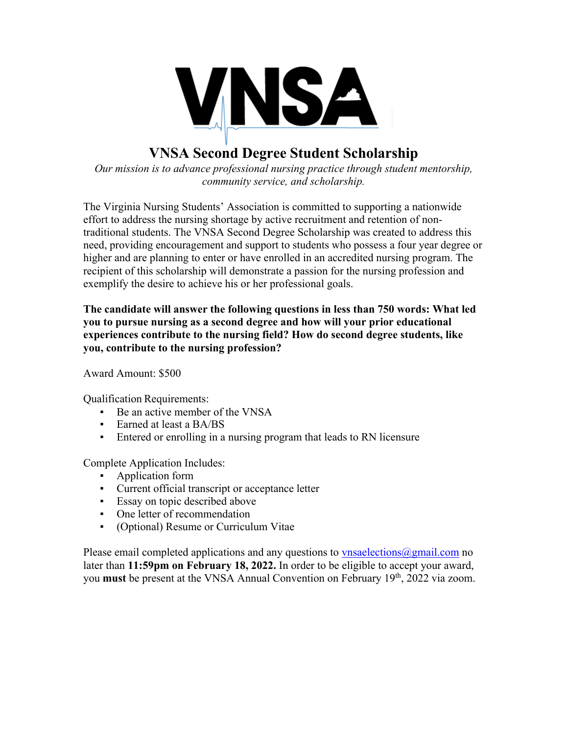

# **VNSA Second Degree Student Scholarship**

*Our mission is to advance professional nursing practice through student mentorship, community service, and scholarship.*

The Virginia Nursing Students' Association is committed to supporting a nationwide effort to address the nursing shortage by active recruitment and retention of nontraditional students. The VNSA Second Degree Scholarship was created to address this need, providing encouragement and support to students who possess a four year degree or higher and are planning to enter or have enrolled in an accredited nursing program. The recipient of this scholarship will demonstrate a passion for the nursing profession and exemplify the desire to achieve his or her professional goals.

**The candidate will answer the following questions in less than 750 words: What led you to pursue nursing as a second degree and how will your prior educational experiences contribute to the nursing field? How do second degree students, like you, contribute to the nursing profession?**

Award Amount: \$500

Qualification Requirements:

- Be an active member of the VNSA
- **Earned at least a BA/BS**
- Entered or enrolling in a nursing program that leads to RN licensure

Complete Application Includes:

- Application form
- Current official transcript or acceptance letter
- Essay on topic described above
- One letter of recommendation
- (Optional) Resume or Curriculum Vitae

Please email completed applications and any questions to vnsaelections  $\omega$  gmail.com no later than **11:59pm on February 18, 2022.** In order to be eligible to accept your award, you **must** be present at the VNSA Annual Convention on February 19th, 2022 via zoom.